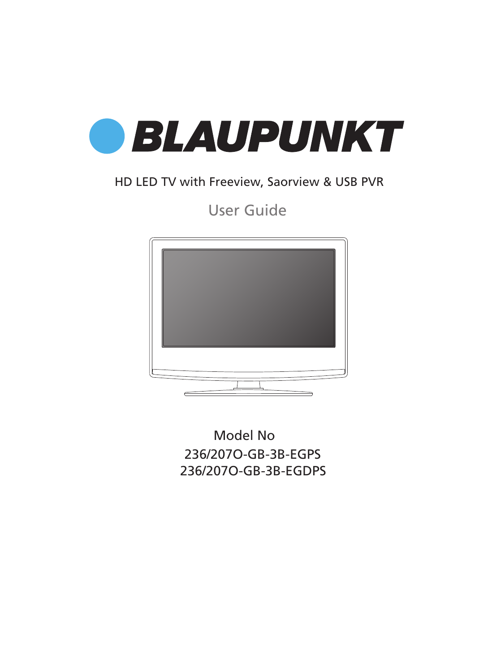

## HD LED TV with Freeview, Saorview & USB PVR

User Guide



Model No 236/207O-GB-3B-EGPS 236/207O-GB-3B-EGDPS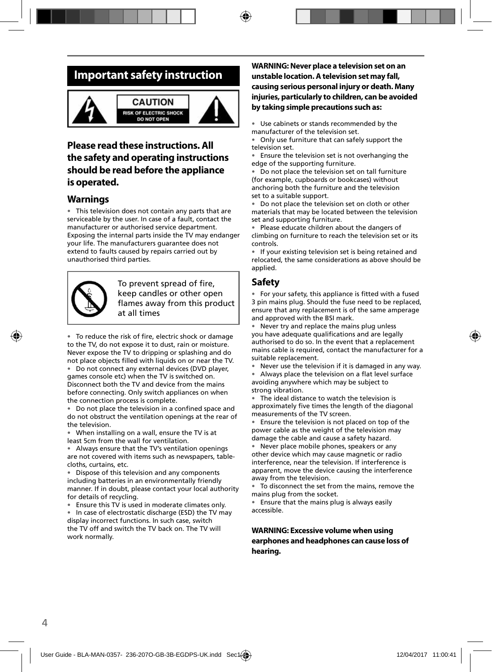## **Important safety instruction**



### **Please read these instructions. All the safety and operating instructions should be read before the appliance is operated.**

### **Warnings**

• This television does not contain any parts that are serviceable by the user. In case of a fault, contact the manufacturer or authorised service department. Exposing the internal parts inside the TV may endanger your life. The manufacturers guarantee does not extend to faults caused by repairs carried out by unauthorised third parties.



To prevent spread of fire, keep candles or other open flames away from this product at all times

• To reduce the risk of fire, electric shock or damage to the TV, do not expose it to dust, rain or moisture. Never expose the TV to dripping or splashing and do not place objects filled with liquids on or near the TV.

• Do not connect any external devices (DVD player, games console etc) when the TV is switched on. Disconnect both the TV and device from the mains before connecting. Only switch appliances on when the connection process is complete.

Do not place the television in a confined space and do not obstruct the ventilation openings at the rear of the television.

• When installing on a wall, ensure the TV is at least 5cm from the wall for ventilation.

• Always ensure that the TV's ventilation openings are not covered with items such as newspapers, tablecloths, curtains, etc.

• Dispose of this television and any components including batteries in an environmentally friendly manner. If in doubt, please contact your local authority for details of recycling.

Ensure this TV is used in moderate climates only.

• In case of electrostatic discharge (ESD) the TV may display incorrect functions. In such case, switch the TV off and switch the TV back on. The TV will work normally.

#### **WARNING: Never place a television set on an unstable location. A television set may fall, causing serious personal injury or death. Many injuries, particularly to children, can be avoided by taking simple precautions such as:**

Use cabinets or stands recommended by the manufacturer of the television set.

• Only use furniture that can safely support the television set.

• Ensure the television set is not overhanging the edge of the supporting furniture.

• Do not place the television set on tall furniture (for example, cupboards or bookcases) without anchoring both the furniture and the television set to a suitable support.

• Do not place the television set on cloth or other materials that may be located between the television set and supporting furniture.

Please educate children about the dangers of climbing on furniture to reach the television set or its controls.

If your existing television set is being retained and relocated, the same considerations as above should be applied.

### **Safety**

• For your safety, this appliance is fitted with a fused 3 pin mains plug. Should the fuse need to be replaced, ensure that any replacement is of the same amperage and approved with the BSI mark.

• Never try and replace the mains plug unless you have adequate qualifications and are legally authorised to do so. In the event that a replacement mains cable is required, contact the manufacturer for a suitable replacement.

Never use the television if it is damaged in any way.

Always place the television on a flat level surface avoiding anywhere which may be subject to strong vibration.

• The ideal distance to watch the television is approximately five times the length of the diagonal measurements of the TV screen.

• Ensure the television is not placed on top of the power cable as the weight of the television may damage the cable and cause a safety hazard.

• Never place mobile phones, speakers or any other device which may cause magnetic or radio interference, near the television. If interference is apparent, move the device causing the interference away from the television.

• To disconnect the set from the mains, remove the mains plug from the socket.

• Ensure that the mains plug is always easily accessible.

**WARNING: Excessive volume when using earphones and headphones can cause loss of hearing.**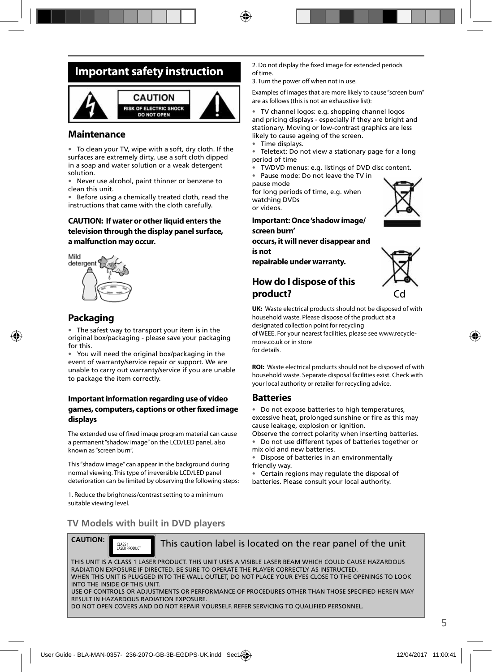## **Important safety instruction**



### **Maintenance**

• To clean your TV, wipe with a soft, dry cloth. If the surfaces are extremely dirty, use a soft cloth dipped in a soap and water solution or a weak detergent solution.

• Never use alcohol, paint thinner or benzene to clean this unit.

• Before using a chemically treated cloth, read the instructions that came with the cloth carefully.

#### **CAUTION: If water or other liquid enters the television through the display panel surface, a malfunction may occur.**



### **Packaging**

The safest way to transport your item is in the original box/packaging - please save your packaging for this.

• You will need the original box/packaging in the event of warranty/service repair or support. We are unable to carry out warranty/service if you are unable to package the item correctly.

#### **Important information regarding use of video games, computers, captions or other fi xed image displays**

The extended use of fixed image program material can cause a permanent "shadow image" on the LCD/LED panel, also known as "screen burn".

This "shadow image" can appear in the background during normal viewing. This type of irreversible LCD/LED panel deterioration can be limited by observing the following steps:

1. Reduce the brightness/contrast setting to a minimum suitable viewing level.

2. Do not display the fixed image for extended periods of time.

3. Turn the power off when not in use.

Examples of images that are more likely to cause "screen burn" are as follows (this is not an exhaustive list):

• TV channel logos: e.g. shopping channel logos and pricing displays - especially if they are bright and stationary. Moving or low-contrast graphics are less likely to cause ageing of the screen.

- Time displays.
- Teletext: Do not view a stationary page for a long period of time
- TV/DVD menus: e.g. listings of DVD disc content.
- Pause mode: Do not leave the TV in

pause mode for long periods of time, e.g. when watching DVDs or videos.



**Important: Once 'shadow image/ screen burn'** 

**occurs, it will never disappear and is not** 

**repairable under warranty.**

### **How do I dispose of this product?**



**UK:** Waste electrical products should not be disposed of with household waste. Please dispose of the product at a designated collection point for recycling

of WEEE. For your nearest facilities, please see www.recyclemore.co.uk or in store for details.

**ROI:** Waste electrical products should not be disposed of with household waste. Separate disposal facilities exist. Check with your local authority or retailer for recycling advice.

### **Batteries**

• Do not expose batteries to high temperatures, excessive heat, prolonged sunshine or fire as this may cause leakage, explosion or ignition.

Observe the correct polarity when inserting batteries. • Do not use different types of batteries together or

mix old and new batteries.

• Dispose of batteries in an environmentally friendly way.

• Certain regions may regulate the disposal of batteries. Please consult your local authority.

### **TV Models with built in DVD players**

CLASS 1

**CAUTION:**

This caution label is located on the rear panel of the unit

THIS UNIT IS A CLASS 1 LASER PRODUCT. THIS UNIT USES A VISIBLE LASER BEAM WHICH COULD CAUSE HAZARDOUS RADIATION EXPOSURE IF DIRECTED. BE SURE TO OPERATE THE PLAYER CORRECTLY AS INSTRUCTED. WHEN THIS UNIT IS PLUGGED INTO THE WALL OUTLET, DO NOT PLACE YOUR EYES CLOSE TO THE OPENINGS TO LOOK INTO THE INSIDE OF THIS UNIT. USE OF CONTROLS OR ADJUSTMENTS OR PERFORMANCE OF PROCEDURES OTHER THAN THOSE SPECIFIED HEREIN MAY RESULT IN HAZARDOUS RADIATION EXPOSURE. DO NOT OPEN COVERS AND DO NOT REPAIR YOURSELF. REFER SERVICING TO QUALIFIED PERSONNEL.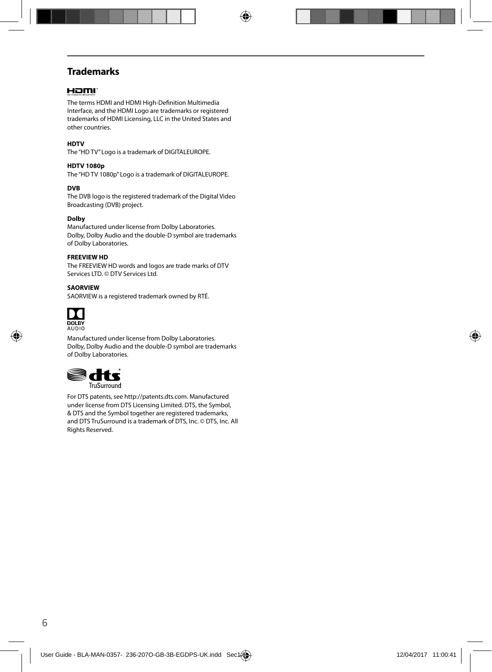### **Trademarks**

#### HOMI

The terms HDMI and HDMI High-Definition Multimedia Interface, and the HDMI Logo are trademarks or registered trademarks of HDMI Licensing, LLC in the United States and other countries.

#### **HDTV**

The "HD TV" Logo is a trademark of DIGITALEUROPE.

#### **HDTV 1080p**

The "HD TV 1080p" Logo is a trademark of DIGITALEUROPE.

#### **DVB**

The DVB logo is the registered trademark of the Digital Video Broadcasting (DVB) project.

#### **Dolby**

Manufactured under license from Dolby Laboratories. Dolby, Dolby Audio and the double-D symbol are trademarks of Dolby Laboratories.

#### **FREEVIEW HD**

The FREEVIEW HD words and logos are trade marks of DTV Services LTD. © DTV Services Ltd.

#### **SAORVIEW**

SAORVIEW is a registered trademark owned by RTÉ.



Manufactured under license from Dolby Laboratories. Dolby, Dolby Audio and the double-D symbol are trademarks of Dolby Laboratories.



For DTS patents, see http://patents.dts.com. Manufactured under license from DTS Licensing Limited. DTS, the Symbol, & DTS and the Symbol together are registered trademarks, and DTS TruSurround is a trademark of DTS, Inc. © DTS, Inc. All Rights Reserved.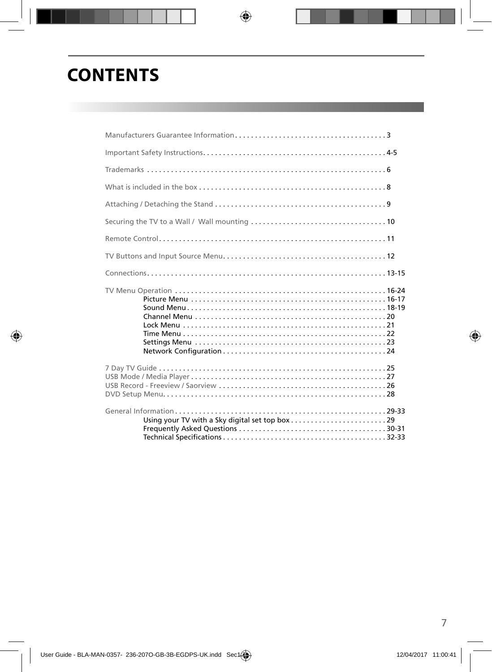## **CONTENTS**

| What is included in the box $\ldots$ $\ldots$ $\ldots$ $\ldots$ $\ldots$ $\ldots$ $\ldots$ $\ldots$ $\ldots$ $\ldots$ $\ldots$ $\ldots$ . |  |
|-------------------------------------------------------------------------------------------------------------------------------------------|--|
|                                                                                                                                           |  |
|                                                                                                                                           |  |
|                                                                                                                                           |  |
|                                                                                                                                           |  |
|                                                                                                                                           |  |
|                                                                                                                                           |  |
|                                                                                                                                           |  |
|                                                                                                                                           |  |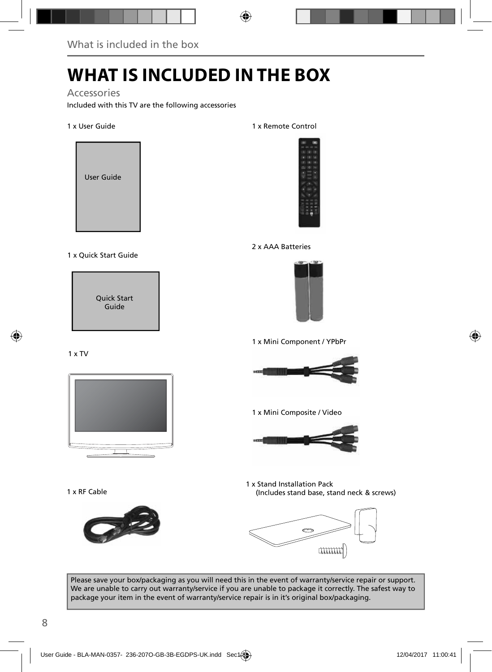# **WHAT IS INCLUDED IN THE BOX**

Accessories

Included with this TV are the following accessories

#### 1 x User Guide



#### 1 x Quick Start Guide

Quick Start Guide

#### 1 x TV



1 x RF Cable



#### 1 x Remote Control



#### 2 x AAA Batteries



1 x Mini Component / YPbPr



1 x Mini Composite / Video



1 x Stand Installation Pack (Includes stand base, stand neck & screws)



Please save your box/packaging as you will need this in the event of warranty/service repair or support. We are unable to carry out warranty/service if you are unable to package it correctly. The safest way to package your item in the event of warranty/service repair is in it's original box/packaging.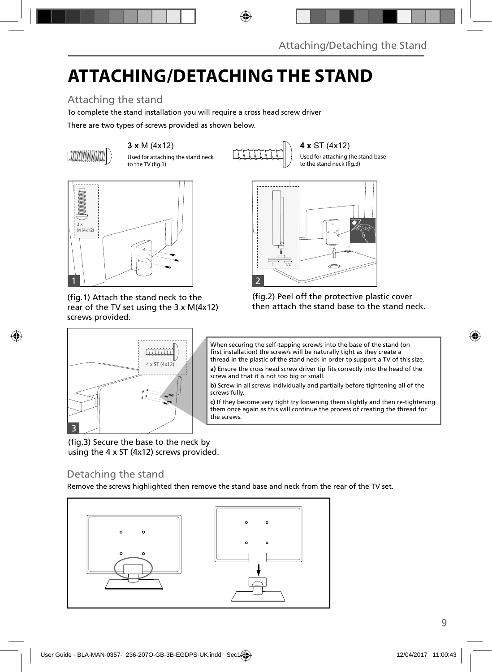## **ATTACHING/DETACHING THE STAND**

## Attaching the stand

To complete the stand installation you will require a cross head screw driver

There are two types of screws provided as shown below.



Used for attaching the stand neck to the TV (fig.1)

**3 x** M (4x12) **4 x** ST (4x12)

Used for attaching the stand base to the stand neck (fig.3)



(fig.1) Attach the stand neck to the rear of the TV set using the 3 x M(4x12) screws provided.

 $ST(4x12)$ 





When securing the self-tapping screw/s into the base of the stand (on first installation) the screw/s will be naturally tight as they create a thread in the plastic of the stand neck in order to support a TV of this size.

**a)** Ensure the cross head screw driver tip fits correctly into the head of the screw and that it is not too big or small.

**b)** Screw in all screws individually and partially before tightening all of the screws fully.

**c)** If they become very tight try loosening them slightly and then re-tightening them once again as this will continue the process of creating the thread for the screws.

(fig.3) Secure the base to the neck by using the 4 x ST (4x12) screws provided.

### Detaching the stand

3

Remove the screws highlighted then remove the stand base and neck from the rear of the TV set.

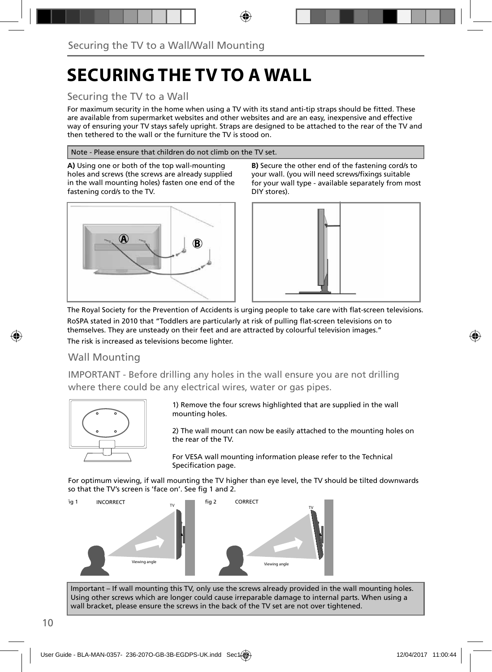## **SECURING THE TV TO A WALL**

### Securing the TV to a Wall

For maximum security in the home when using a TV with its stand anti-tip straps should be fitted. These are available from supermarket websites and other websites and are an easy, inexpensive and effective way of ensuring your TV stays safely upright. Straps are designed to be attached to the rear of the TV and then tethered to the wall or the furniture the TV is stood on.

#### Note - Please ensure that children do not climb on the TV set.

**A)** Using one or both of the top wall-mounting holes and screws (the screws are already supplied in the wall mounting holes) fasten one end of the fastening cord/s to the TV.







The Royal Society for the Prevention of Accidents is urging people to take care with flat-screen televisions. RoSPA stated in 2010 that "Toddlers are particularly at risk of pulling flat-screen televisions on to themselves. They are unsteady on their feet and are attracted by colourful television images."

The risk is increased as televisions become lighter.

### Wall Mounting

IMPORTANT - Before drilling any holes in the wall ensure you are not drilling where there could be any electrical wires, water or gas pipes.



1) Remove the four screws highlighted that are supplied in the wall mounting holes.

2) The wall mount can now be easily attached to the mounting holes on the rear of the TV.

For VESA wall mounting information please refer to the Technical Specification page.

For optimum viewing, if wall mounting the TV higher than eye level, the TV should be tilted downwards so that the TV's screen is 'face on'. See fig 1 and 2.



Important – If wall mounting this TV, only use the screws already provided in the wall mounting holes. Using other screws which are longer could cause irreparable damage to internal parts. When using a wall bracket, please ensure the screws in the back of the TV set are not over tightened.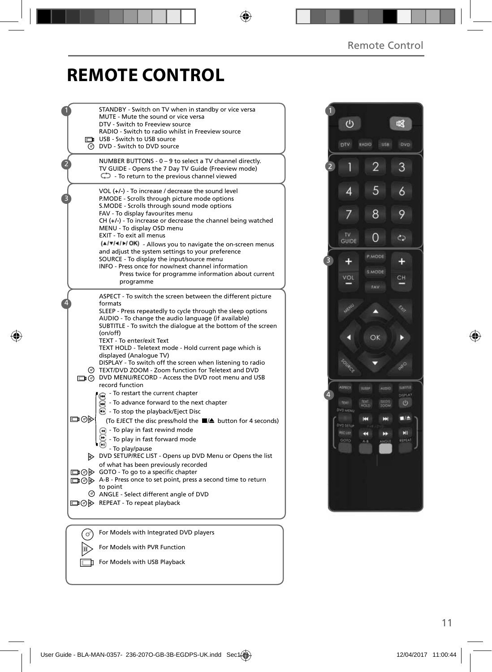啜

 $\circ$ 

## **REMOTE CONTROL**

|     | STANDBY - Switch on TV when in standby or vice versa<br>MUTE - Mute the sound or vice versa<br>DTV - Switch to Freeview source<br>RADIO - Switch to radio whilst in Freeview source<br>USB - Switch to USB source<br>O DVD - Switch to DVD source                                                                                                                               |
|-----|---------------------------------------------------------------------------------------------------------------------------------------------------------------------------------------------------------------------------------------------------------------------------------------------------------------------------------------------------------------------------------|
|     | NUMBER BUTTONS - 0 - 9 to select a TV channel directly.<br>TV GUIDE - Opens the 7 Day TV Guide (Freeview mode)<br>$\mathbb{C}$ - To return to the previous channel viewed                                                                                                                                                                                                       |
|     | VOL (+/-) - To increase / decrease the sound level<br>P.MODE - Scrolls through picture mode options<br>S.MODE - Scrolls through sound mode options<br>FAV - To display favourites menu<br>$CH (+/-)$ - To increase or decrease the channel being watched<br>MENU - To display OSD menu<br>EXIT - To exit all menus<br>(A/V/4/M/OK) - Allows you to navigate the on-screen menus |
|     | and adjust the system settings to your preference<br>SOURCE - To display the input/source menu<br>INFO - Press once for now/next channel information<br>Press twice for programme information about current<br>programme                                                                                                                                                        |
|     | ASPECT - To switch the screen between the different picture<br>formats<br>SLEEP - Press repeatedly to cycle through the sleep options<br>AUDIO - To change the audio language (if available)<br>SUBTITLE - To switch the dialogue at the bottom of the screen<br>(on/off)                                                                                                       |
|     | TEXT - To enter/exit Text<br>TEXT HOLD - Teletext mode - Hold current page which is<br>displayed (Analogue TV)<br>DISPLAY - To switch off the screen when listening to radio<br>TEXT/DVD ZOOM - Zoom function for Teletext and DVD<br>DVD MENU/RECORD - Access the DVD root menu and USB<br>record function                                                                     |
| ▭⊙⋫ | - To restart the current chapter<br>- To advance forward to the next chapter<br><b>B</b> - To stop the playback/Eject Disc<br>(To EJECT the disc press/hold the ■▲ button for 4 seconds)<br>$\bigoplus$ - To play in fast rewind mode<br>- To play in fast forward mode                                                                                                         |
|     | - To play/pause<br>DVD SETUP/REC LIST - Opens up DVD Menu or Opens the list<br>of what has been previously recorded<br>□ ⊙ > GOTO - To go to a specific chapter<br>A-B - Press once to set point, press a second time to return                                                                                                                                                 |
|     | to point<br>$\circledcirc$ ANGLE - Select different angle of DVD<br>□ ⊙ D REPEAT - To repeat playback                                                                                                                                                                                                                                                                           |
|     | For Models with Integrated DVD players                                                                                                                                                                                                                                                                                                                                          |
|     | For Models with PVR Function                                                                                                                                                                                                                                                                                                                                                    |
|     |                                                                                                                                                                                                                                                                                                                                                                                 |

 $\overline{2}$ 3  $\overline{2}$ 1 5  $\ddot{\delta}$  $\overline{4}$  $\overline{7}$ 8 9 TV<br>GUIDE  $\overline{0}$  $\mathbb{C}$ 3  $+$  $+$ **VOL** 앤 Mere A OK п D  $\mathcal{L}^{\text{O}}$ sami **TLESS** 4  $\theta$ 黒島 **OVO ART** Ħ  $\blacksquare$ m MI<br>EEFEAT  $\ddot{\phantom{1}}$ m

For Models with USB Playback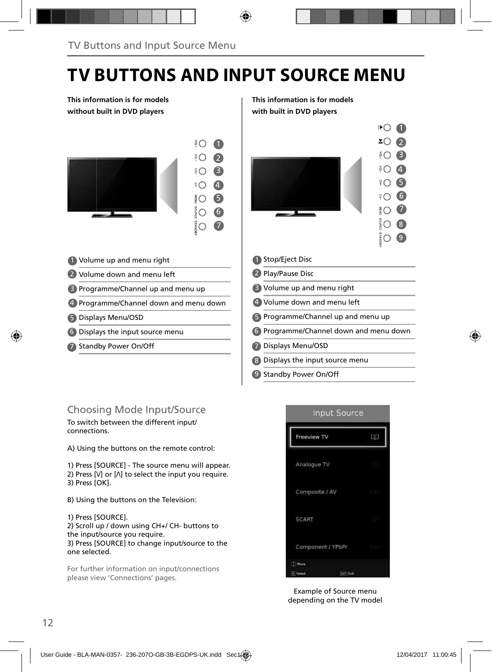## **TV BUTTONS AND INPUT SOURCE MENU**

**This information is for models without built in DVD players**



- 1 Volume up and menu right **1** 1
- 2 Volume down and menu left 2
- 3 Programme/Channel up and menu up **8**
- 4 Programme/Channel down and menu down (4)
- Displays Menu/OSD 5 5
- Displays the input source menu 6 6
- 7 Standby Power On/Off **1996 1997**

#### **This information is for models with built in DVD players**



- Programme/Channel down and menu down
- Displays Menu/OSD
- Displays the input source menu 8
- 9 Standby Power On/Off

### Choosing Mode Input/Source

To switch between the different input/ connections.

A) Using the buttons on the remote control:

1) Press [SOURCE] - The source menu will appear. 2) Press  $[V]$  or  $[\Lambda]$  to select the input you require. 3) Press [OK].

B) Using the buttons on the Television:

1) Press [SOURCE].

2) Scroll up / down using CH+/ CH- buttons to the input/source you require. 3) Press [SOURCE] to change input/source to the one selected.

For further information on input/connections please view 'Connections' pages.



Example of Source menu depending on the TV model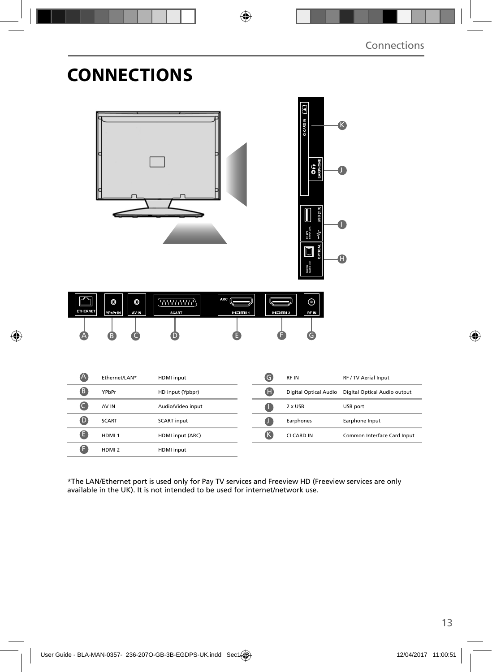## **CONNECTIONS**

|                  |                                  |                                                            |            | CI CARD IN [A]<br>$\bigcirc$ $\bigcirc$<br>USB(2.0)<br>$rac{1}{3}$<br>OPTICA<br>$\overline{\blacksquare}$<br>ENGITAL<br>Alieno outi | <b>R</b><br>A                |
|------------------|----------------------------------|------------------------------------------------------------|------------|-------------------------------------------------------------------------------------------------------------------------------------|------------------------------|
| <b>ETHERNET</b>  | O<br>O<br>AV IN<br>YPbPr IN<br>R | ARC<br><b>(WWWW)</b><br><b>SCART</b><br><b>Hami</b> 1<br>D |            | $\odot$<br><b>RFIN</b><br>$H \Box H$ 2                                                                                              |                              |
| A                | Ethernet/LAN*                    | HDMI input                                                 | $\bullet$  | RF IN                                                                                                                               | RF / TV Aerial Input         |
| 8                | YPbPr                            | HD input (Ypbpr)                                           | $\bf \Phi$ | Digital Optical Audio                                                                                                               | Digital Optical Audio output |
| $\bullet$        | AV IN                            | Audio/Video input                                          | $\bullet$  | 2 x USB                                                                                                                             | USB port                     |
| $\bullet$        | <b>SCART</b>                     | <b>SCART input</b>                                         | $\bullet$  | Earphones                                                                                                                           | Earphone Input               |
| $\mathbf \Theta$ | HDMI <sub>1</sub>                | HDMI input (ARC)                                           | $\bigcirc$ | CI CARD IN                                                                                                                          | Common Interface Card Input  |
| G                | HDMI <sub>2</sub>                | HDMI input                                                 |            |                                                                                                                                     |                              |

\*The LAN/Ethernet port is used only for Pay TV services and Freeview HD (Freeview services are only available in the UK). It is not intended to be used for internet/network use.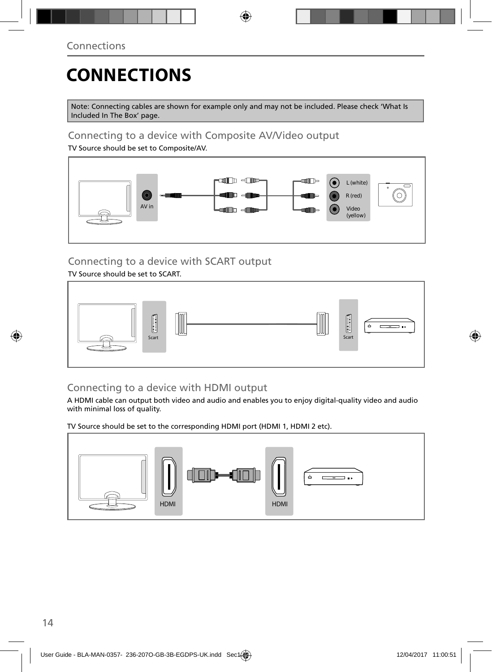# **CONNECTIONS**

Note: Connecting cables are shown for example only and may not be included. Please check 'What Is Included In The Box' page.

### Connecting to a device with Composite AV/Video output

TV Source should be set to Composite/AV.



### Connecting to a device with SCART output

TV Source should be set to SCART.



### Connecting to a device with HDMI output

A HDMI cable can output both video and audio and enables you to enjoy digital-quality video and audio with minimal loss of quality.

TV Source should be set to the corresponding HDMI port (HDMI 1, HDMI 2 etc).

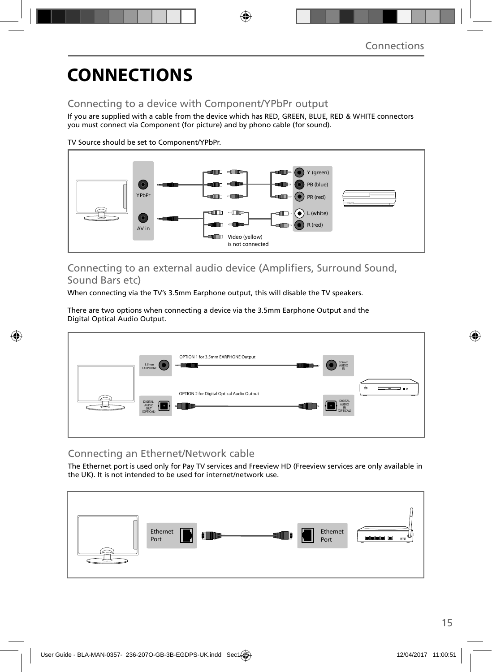## **CONNECTIONS**

### Connecting to a device with Component/YPbPr output

If you are supplied with a cable from the device which has RED, GREEN, BLUE, RED & WHITE connectors you must connect via Component (for picture) and by phono cable (for sound).

TV Source should be set to Component/YPbPr.



### Connecting to an external audio device (Amplifiers, Surround Sound, Sound Bars etc)

When connecting via the TV's 3.5mm Earphone output, this will disable the TV speakers.

There are two options when connecting a device via the 3.5mm Earphone Output and the Digital Optical Audio Output.



## Connecting an Ethernet/Network cable

The Ethernet port is used only for Pay TV services and Freeview HD (Freeview services are only available in the UK). It is not intended to be used for internet/network use.

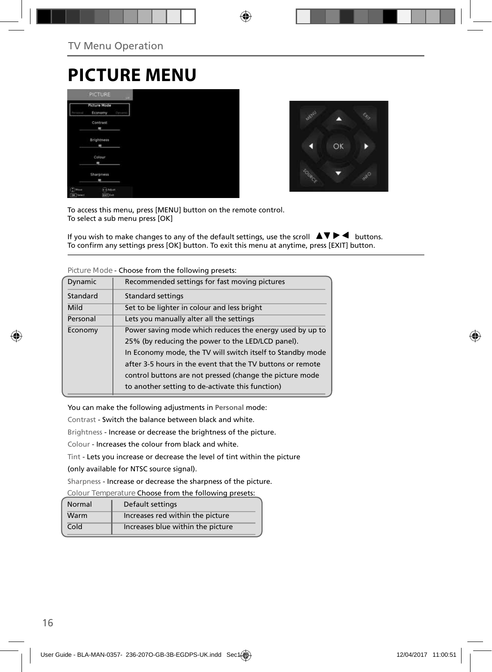## **PICTURE MENU**

|                         | <b>PICTURE</b>                     | LIE-  |
|-------------------------|------------------------------------|-------|
|                         | <b>Picture Mode</b><br>Economy     | Dynam |
|                         | <b>Contrast</b><br>۰               |       |
|                         | <b>Brightness</b><br>an            |       |
|                         | Colour<br>×                        |       |
|                         | Sharpness                          |       |
| $(2)$ Moure<br>DK Tered | <b>CoAdulet</b><br><b>SKY Call</b> |       |



To access this menu, press [MENU] button on the remote control. To select a sub menu press [OK]

If you wish to make changes to any of the default settings, use the scroll  $\Box \Box \blacktriangleright \blacktriangleleft$  buttons. To confirm any settings press [OK] button. To exit this menu at anytime, press [EXIT] button.

| Dynamic  | Recommended settings for fast moving pictures              |
|----------|------------------------------------------------------------|
| Standard | Standard settings                                          |
| Mild     | Set to be lighter in colour and less bright                |
| Personal | Lets you manually alter all the settings                   |
| Economy  | Power saving mode which reduces the energy used by up to   |
|          | 25% (by reducing the power to the LED/LCD panel).          |
|          | In Economy mode, the TV will switch itself to Standby mode |
|          | after 3-5 hours in the event that the TV buttons or remote |
|          | control buttons are not pressed (change the picture mode   |
|          | to another setting to de-activate this function)           |

**Picture Mode** - Choose from the following presets:

You can make the following adjustments in **Personal** mode:

Contrast - Switch the balance between black and white.

Brightness - Increase or decrease the brightness of the picture.

Colour - Increases the colour from black and white.

Tint - Lets you increase or decrease the level of tint within the picture

(only available for NTSC source signal).

Sharpness - Increase or decrease the sharpness of the picture.

**Colour Temperature** Choose from the following presets:

| Normal | Default settings                  |
|--------|-----------------------------------|
| Warm   | Increases red within the picture  |
| Cold   | Increases blue within the picture |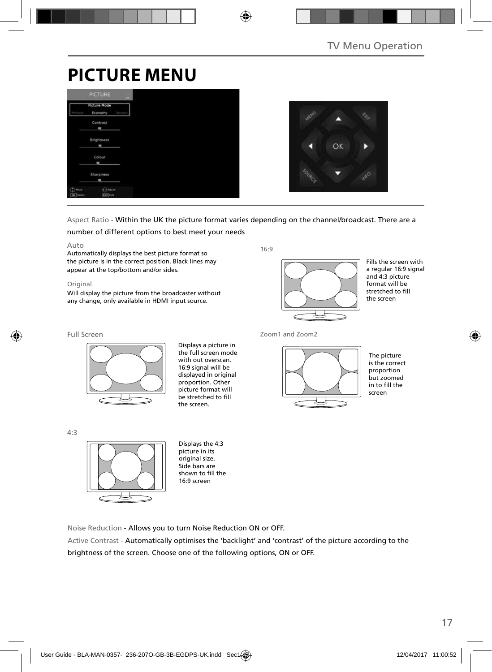## **PICTURE MENU**

|                            | <b>PICTURE</b>                 | <b>SHEET</b> |
|----------------------------|--------------------------------|--------------|
| <b>Printernal</b>          | <b>Picture Mode</b><br>Economy | Dynami       |
|                            | Contrast<br>۰                  |              |
|                            | Brightness<br>m                |              |
|                            | Colour<br>ı                    |              |
|                            | Sharpness                      |              |
| <b>MAGuna</b><br>OK Terect | a Adult<br>tori Call           |              |



#### Aspect Ratio - Within the UK the picture format varies depending on the channel/broadcast. There are a number of different options to best meet your needs

#### Auto

Automatically displays the best picture format so the picture is in the correct position. Black lines may appear at the top/bottom and/or sides.

#### Original

Will display the picture from the broadcaster without any change, only available in HDMI input source.

16:9



Fills the screen with a regular 16:9 signal and 4:3 picture format will be stretched to fill the screen

#### Full Screen



Displays a picture in the full screen mode with out overscan. 16:9 signal will be displayed in original proportion. Other picture format will be stretched to fill the screen.

4:3



Displays the 4:3 picture in its original size. Side bars are shown to fill the 16:9 screen

Noise Reduction - Allows you to turn Noise Reduction ON or OFF.

Active Contrast - Automatically optimises the 'backlight' and 'contrast' of the picture according to the brightness of the screen. Choose one of the following options, ON or OFF.



The picture is the correct proportion but zoomed in to fill the screen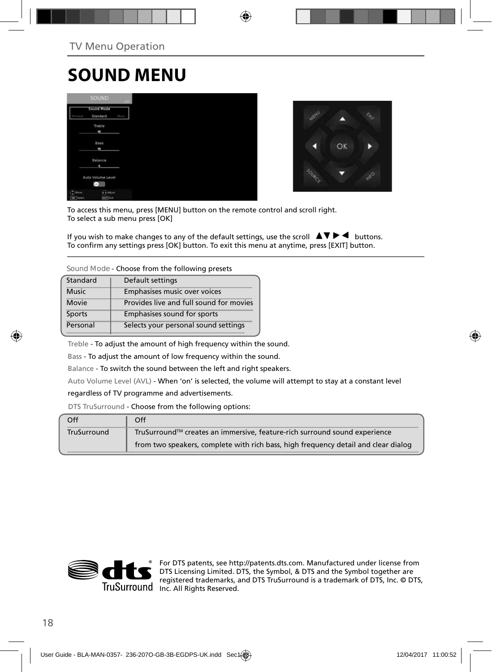## **SOUND MENU**

|                               | <b>SOUND</b>                 |               |
|-------------------------------|------------------------------|---------------|
|                               | Sound Mode<br>Standard       | <b>Margar</b> |
|                               | Treble<br>٠                  |               |
|                               | Bass<br>٠                    |               |
|                               | Balance<br>٠                 |               |
|                               | Auto Volume Level<br>Ξ       |               |
| $(2)$ Hour<br><b>CK</b> Tered | 2.Adjust<br><b>EATT</b> Katt |               |



To access this menu, press [MENU] button on the remote control and scroll right. To select a sub menu press [OK]

If you wish to make changes to any of the default settings, use the scroll  $\blacktriangle V \blacktriangleright \blacktriangleleft$  buttons. To confirm any settings press [OK] button. To exit this menu at anytime, press [EXIT] button.

#### **Sound Mode** - Choose from the following presets

| Standard     | Default settings                        |
|--------------|-----------------------------------------|
| <b>Music</b> | Emphasises music over voices            |
| Movie        | Provides live and full sound for movies |
| Sports       | Emphasises sound for sports             |
| Personal     | Selects your personal sound settings    |

Treble - To adjust the amount of high frequency within the sound.

Bass - To adjust the amount of low frequency within the sound.

Balance - To switch the sound between the left and right speakers.

Auto Volume Level (AVL) - When 'on' is selected, the volume will attempt to stay at a constant level

#### regardless of TV programme and advertisements.

DTS TruSurround - Choose from the following options:

| Off                | Off                                                                                |
|--------------------|------------------------------------------------------------------------------------|
| <b>TruSurround</b> | TruSurround™ creates an immersive, feature-rich surround sound experience          |
|                    | from two speakers, complete with rich bass, high frequency detail and clear dialog |



For DTS patents, see http://patents.dts.com. Manufactured under license from DTS Licensing Limited. DTS, the Symbol, & DTS and the Symbol together are registered trademarks, and DTS TruSurround is a trademark of DTS, Inc. © DTS, TruSurround Inc. All Rights Reserved.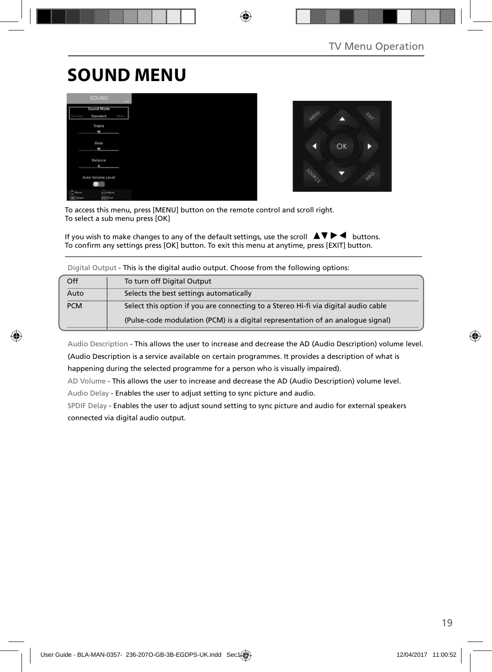## **SOUND MENU**





To access this menu, press [MENU] button on the remote control and scroll right. To select a sub menu press [OK]

If you wish to make changes to any of the default settings, use the scroll  $\Delta \nabla \blacktriangleright$  buttons. To confirm any settings press [OK] button. To exit this menu at anytime, press [EXIT] button.

| Off        | To turn off Digital Output                                                         |
|------------|------------------------------------------------------------------------------------|
| Auto       | Selects the best settings automatically                                            |
| <b>PCM</b> | Select this option if you are connecting to a Stereo Hi-fi via digital audio cable |
|            | (Pulse-code modulation (PCM) is a digital representation of an analogue signal)    |

Digital Output - This is the digital audio output. Choose from the following options:

Audio Description - This allows the user to increase and decrease the AD (Audio Description) volume level. (Audio Description is a service available on certain programmes. It provides a description of what is happening during the selected programme for a person who is visually impaired).

AD Volume - This allows the user to increase and decrease the AD (Audio Description) volume level.

Audio Delay - Enables the user to adjust setting to sync picture and audio.

SPDIF Delay - Enables the user to adjust sound setting to sync picture and audio for external speakers connected via digital audio output.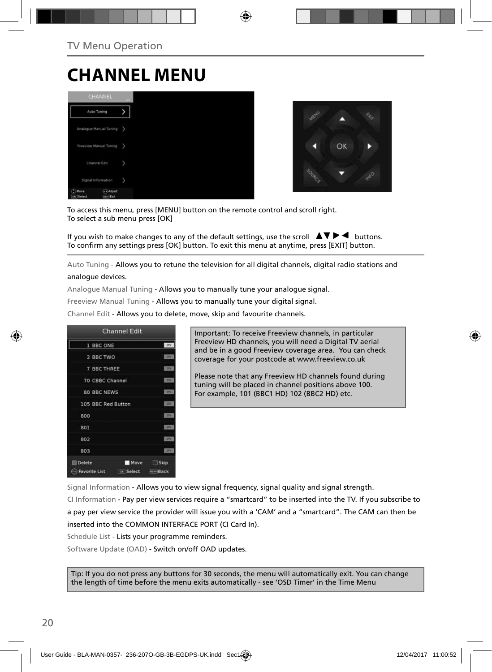## **CHANNEL MENU**





To access this menu, press [MENU] button on the remote control and scroll right. To select a sub menu press [OK]

If you wish to make changes to any of the default settings, use the scroll  $\blacktriangle \blacktriangledown \blacktriangleright \blacktriangleleft$  buttons. To confirm any settings press [OK] button. To exit this menu at anytime, press [EXIT] button.

Auto Tuning - Allows you to retune the television for all digital channels, digital radio stations and analogue devices.

Analogue Manual Tuning - Allows you to manually tune your analogue signal.

Freeview Manual Tuning - Allows you to manually tune your digital signal.

Channel Edit - Allows you to delete, move, skip and favourite channels.



Important: To receive Freeview channels, in particular Freeview HD channels, you will need a Digital TV aerial and be in a good Freeview coverage area. You can check coverage for your postcode at www.freeview.co.uk

Please note that any Freeview HD channels found during tuning will be placed in channel positions above 100. For example, 101 (BBC1 HD) 102 (BBC2 HD) etc.

Signal Information - Allows you to view signal frequency, signal quality and signal strength.

CI Information - Pay per view services require a "smartcard" to be inserted into the TV. If you subscribe to a pay per view service the provider will issue you with a 'CAM' and a "smartcard". The CAM can then be inserted into the COMMON INTERFACE PORT (CI Card In).

Schedule List - Lists your programme reminders.

Software Update (OAD) - Switch on/off OAD updates.

Tip: If you do not press any buttons for 30 seconds, the menu will automatically exit. You can change the length of time before the menu exits automatically - see 'OSD Timer' in the Time Menu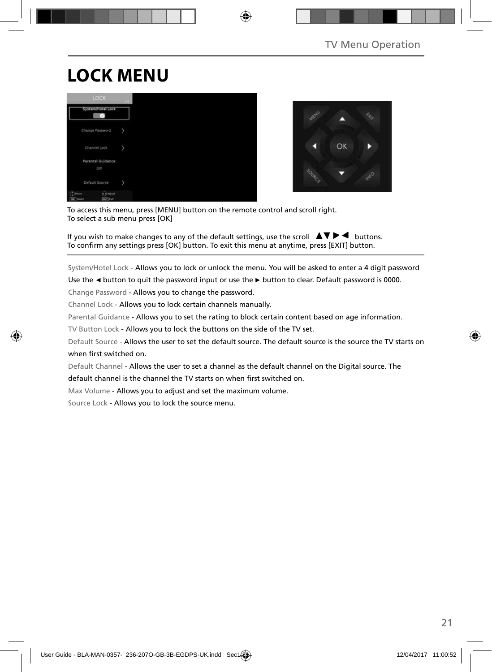# **LOCK MENU**





To access this menu, press [MENU] button on the remote control and scroll right. To select a sub menu press [OK]

If you wish to make changes to any of the default settings, use the scroll  $\blacktriangle \blacktriangledown \blacktriangleright \blacktriangleleft$  buttons. To confirm any settings press [OK] button. To exit this menu at anytime, press [EXIT] button.

System/Hotel Lock - Allows you to lock or unlock the menu. You will be asked to enter a 4 digit password

Use the **◄** button to quit the password input or use the **►** button to clear. Default password is 0000.

Change Password - Allows you to change the password.

Channel Lock - Allows you to lock certain channels manually.

Parental Guidance - Allows you to set the rating to block certain content based on age information.

TV Button Lock - Allows you to lock the buttons on the side of the TV set.

Default Source - Allows the user to set the default source. The default source is the source the TV starts on when first switched on.

Default Channel - Allows the user to set a channel as the default channel on the Digital source. The default channel is the channel the TV starts on when first switched on.

Max Volume - Allows you to adjust and set the maximum volume.

Source Lock - Allows you to lock the source menu.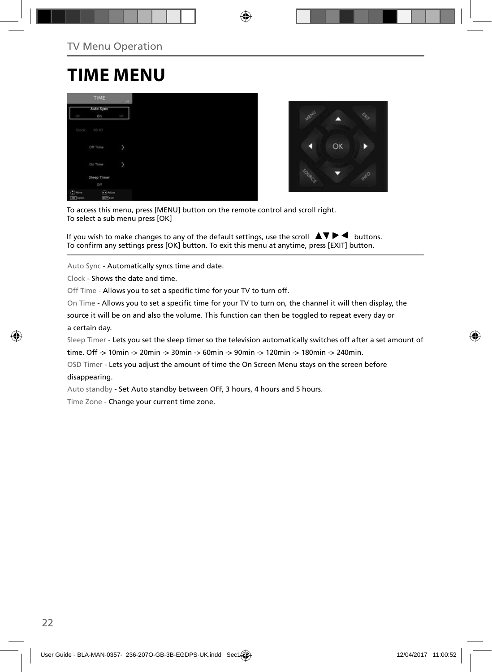## **TIME MENU**

|                                           | TIME              | $-101$ |
|-------------------------------------------|-------------------|--------|
| CFT                                       | Auto Sync<br>On   | ų      |
|                                           |                   |        |
| Clock                                     | 00:07             |        |
|                                           | Off Time          | y      |
|                                           | On Time           | y      |
|                                           | Sleep Timer       |        |
|                                           | Off               |        |
| $^{\prime\prime}$ Have<br><b>DK</b> Tweet | Adium<br>Earl Cut |        |



To access this menu, press [MENU] button on the remote control and scroll right. To select a sub menu press [OK]

If you wish to make changes to any of the default settings, use the scroll  $\blacktriangle \blacktriangledown \blacktriangleright \blacktriangleleft$  buttons. To confirm any settings press [OK] button. To exit this menu at anytime, press [EXIT] button.

Auto Sync - Automatically syncs time and date.

Clock - Shows the date and time.

Off Time - Allows you to set a specific time for your TV to turn off.

On Time - Allows you to set a specific time for your TV to turn on, the channel it will then display, the

source it will be on and also the volume. This function can then be toggled to repeat every day or a certain day.

Sleep Timer - Lets you set the sleep timer so the television automatically switches off after a set amount of

time. Off -> 10min -> 20min -> 30min -> 60min -> 90min -> 120min -> 180min -> 240min.

OSD Timer - Lets you adjust the amount of time the On Screen Menu stays on the screen before

#### disappearing.

Auto standby - Set Auto standby between OFF, 3 hours, 4 hours and 5 hours.

Time Zone - Change your current time zone.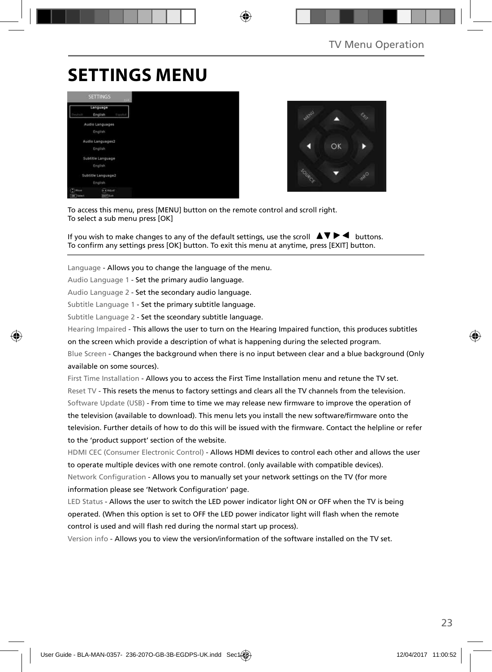## **SETTINGS MENU**





To access this menu, press [MENU] button on the remote control and scroll right. To select a sub menu press [OK]

If you wish to make changes to any of the default settings, use the scroll  $\Delta \nabla \blacktriangleright$  buttons. To confirm any settings press [OK] button. To exit this menu at anytime, press [EXIT] button.

Language - Allows you to change the language of the menu.

Audio Language 1 - Set the primary audio language.

Audio Language 2 - Set the secondary audio language.

Subtitle Language 1 - Set the primary subtitle language.

Subtitle Language 2 - Set the sceondary subtitle language.

Hearing Impaired - This allows the user to turn on the Hearing Impaired function, this produces subtitles

on the screen which provide a description of what is happening during the selected program.

Blue Screen - Changes the background when there is no input between clear and a blue background (Only available on some sources).

First Time Installation - Allows you to access the First Time Installation menu and retune the TV set. Reset TV - This resets the menus to factory settings and clears all the TV channels from the television. Software Update (USB) - From time to time we may release new firmware to improve the operation of the television (available to download). This menu lets you install the new software/firmware onto the television. Further details of how to do this will be issued with the firmware. Contact the helpline or refer to the 'product support' section of the website.

HDMI CEC (Consumer Electronic Control) - Allows HDMI devices to control each other and allows the user to operate multiple devices with one remote control. (only available with compatible devices). Network Configuration - Allows you to manually set your network settings on the TV (for more information please see 'Network Configuration' page.

LED Status - Allows the user to switch the LED power indicator light ON or OFF when the TV is being operated. (When this option is set to OFF the LED power indicator light will flash when the remote control is used and will flash red during the normal start up process).

Version info - Allows you to view the version/information of the software installed on the TV set.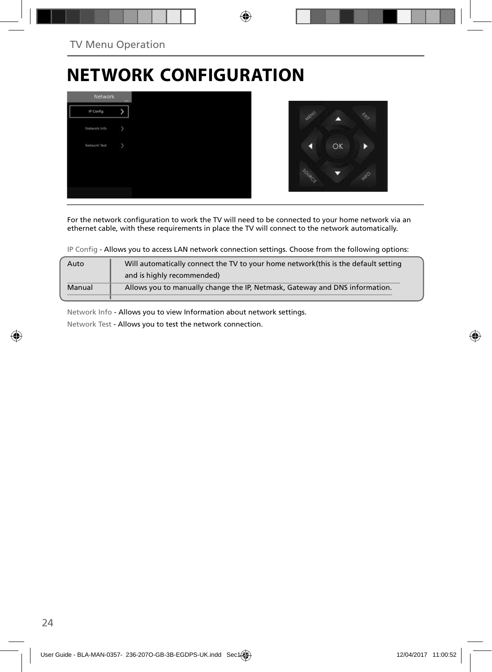## **NETWORK CONFIGURATION**



For the network configuration to work the TV will need to be connected to your home network via an ethernet cable, with these requirements in place the TV will connect to the network automatically.

IP Config - Allows you to access LAN network connection settings. Choose from the following options:

| Will automatically connect the TV to your home network (this is the default setting<br>Auto |                                                                             |  |  |  |  |
|---------------------------------------------------------------------------------------------|-----------------------------------------------------------------------------|--|--|--|--|
|                                                                                             | and is highly recommended)                                                  |  |  |  |  |
| Manual                                                                                      | Allows you to manually change the IP, Netmask, Gateway and DNS information. |  |  |  |  |
|                                                                                             |                                                                             |  |  |  |  |

Network Info - Allows you to view Information about network settings.

Network Test - Allows you to test the network connection.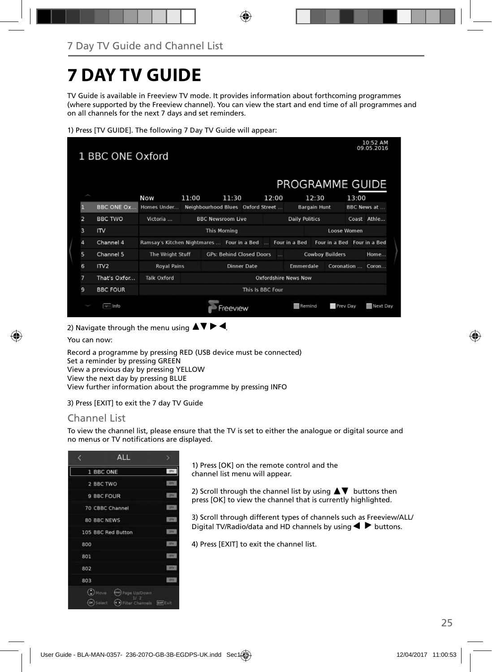## **7 DAY TV GUIDE**

TV Guide is available in Freeview TV mode. It provides information about forthcoming programmes (where supported by the Freeview channel). You can view the start and end time of all programmes and on all channels for the next 7 days and set reminders.

1) Press [TV GUIDE]. The following 7 Day TV Guide will appear:

| 10:52 AM<br>09.05.2016<br>1 BBC ONE Oxford |                  |                                                           |       |                          |         |                                   |  |                 |                       |                     |                        |       |                             |
|--------------------------------------------|------------------|-----------------------------------------------------------|-------|--------------------------|---------|-----------------------------------|--|-----------------|-----------------------|---------------------|------------------------|-------|-----------------------------|
|                                            |                  |                                                           |       |                          |         |                                   |  |                 | PROGRAMME GUIDE       |                     |                        |       |                             |
|                                            |                  | <b>Now</b>                                                | 11:00 |                          | 11:30   |                                   |  | 12:00           |                       | 12:30               |                        | 13:00 |                             |
| П                                          | BBC ONE Ox       | Homes Under                                               |       |                          |         | Neighbourhood Blues Oxford Street |  |                 |                       | <b>Bargain Hunt</b> |                        |       | BBC News at                 |
| $\overline{z}$                             | <b>BBC TWO</b>   | Victoria                                                  |       | <b>BBC Newsroom Live</b> |         |                                   |  |                 | <b>Daily Politics</b> |                     |                        |       | Coast Athle                 |
| 3                                          | IN               |                                                           |       | <b>This Morning</b>      |         |                                   |  |                 |                       |                     | Loose Women            |       |                             |
| 4                                          | Channel 4        | Ramsay's Kitchen Nightmares  Four in a Bed  Four in a Bed |       |                          |         |                                   |  |                 |                       |                     |                        |       | Four in a Bed Four in a Bed |
| 5                                          | Channel 5        | The Wright Stuff                                          |       |                          |         | <b>GPs: Behind Closed Doors</b>   |  | <b>Contract</b> |                       |                     | <b>Cowboy Builders</b> |       | Home                        |
| 6                                          | ITV <sub>2</sub> | <b>Royal Pains</b>                                        |       |                          |         | <b>Dinner Date</b>                |  |                 | Emmerdale             |                     |                        |       | Coronation  Coron           |
| 7                                          | That's Oxfor     | <b>Talk Oxford</b><br>Oxfordshire News Now                |       |                          |         |                                   |  |                 |                       |                     |                        |       |                             |
| 9                                          | <b>BBC FOUR</b>  | This Is BBC Four                                          |       |                          |         |                                   |  |                 |                       |                     |                        |       |                             |
|                                            | <b>NO Info</b>   |                                                           |       |                          | reeview |                                   |  |                 | Remind                |                     | Prev Day               |       | Next Day                    |

2) Navigate through the menu using  $\blacktriangle \blacktriangledown \blacktriangleright \blacktriangleleft$ .

You can now:

Record a programme by pressing RED (USB device must be connected) Set a reminder by pressing GREEN View a previous day by pressing YELLOW View the next day by pressing BLUE View further information about the programme by pressing INFO

3) Press [EXIT] to exit the 7 day TV Guide

### Channel List

To view the channel list, please ensure that the TV is set to either the analogue or digital source and no menus or TV notifications are displayed.



1) Press [OK] on the remote control and the channel list menu will appear.

2) Scroll through the channel list by using  $\blacktriangle \blacktriangledown$  buttons then press [OK] to view the channel that is currently highlighted.

3) Scroll through different types of channels such as Freeview/ALL/ Digital TV/Radio/data and HD channels by using  $\blacklozenge \blacktriangleright$  buttons.

4) Press [EXIT] to exit the channel list.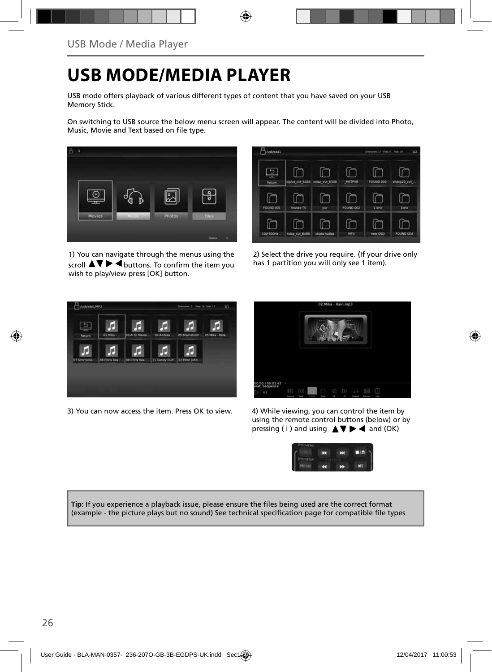## **USB MODE/MEDIA PLAYER**

USB mode offers playback of various different types of content that you have saved on your USB Memory Stick.

On switching to USB source the below menu screen will appear. The content will be divided into Photo, Music. Movie and Text based on file type.



1) You can navigate through the menus using the scroll  $\Delta \nabla \triangleright \blacktriangleleft$  buttons. To confirm the item you wish to play/view press [OK] button.



2) Select the drive you require. (If your drive only has 1 partition you will only see 1 item).



3) You can now access the item. Press OK to view. 4) While viewing, you can control the item by



using the remote control buttons (below) or by pressing ( i ) and using  $\triangle \blacktriangledown \blacktriangleright \blacktriangleleft$  and (OK)



**Tip:** If you experience a playback issue, please ensure the files being used are the correct format (example - the picture plays but no sound) See technical specification page for compatible file types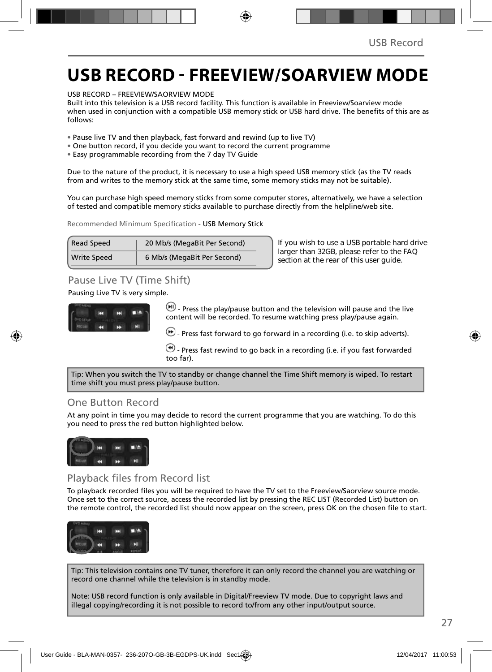## **USB RECORD - FREEVIEW/SOARVIEW MODE**

USB RECORD – FREEVIEW/SAORVIEW MODE

Built into this television is a USB record facility. This function is available in Freeview/Soarview mode when used in conjunction with a compatible USB memory stick or USB hard drive. The benefits of this are as follows:

- Pause live TV and then playback, fast forward and rewind (up to live TV)
- One button record, if you decide you want to record the current programme
- Easy programmable recording from the 7 day TV Guide

Due to the nature of the product, it is necessary to use a high speed USB memory stick (as the TV reads from and writes to the memory stick at the same time, some memory sticks may not be suitable).

You can purchase high speed memory sticks from some computer stores, alternatively, we have a selection of tested and compatible memory sticks available to purchase directly from the helpline/web site.

Recommended Minimum Specification - USB Memory Stick

| <b>Read Speed</b>  | 20 Mb/s (MegaBit Per Second) |
|--------------------|------------------------------|
| <b>Write Speed</b> | 6 Mb/s (MegaBit Per Second)  |

**If you wish to use a USB portable hard drive larger than 32GB, please refer to the FAQ section at the rear of this user guide.**

### Pause Live TV (Time Shift)

Pausing Live TV is very simple.



 $-$  Press the play/pause button and the television will pause and the live content will be recorded. To resume watching press play/pause again.

 $\left(\bullet\right)$  - Press fast forward to go forward in a recording (i.e. to skip adverts).

 $\bigcirc$  - Press fast rewind to go back in a recording (i.e. if you fast forwarded too far).

Tip: When you switch the TV to standby or change channel the Time Shift memory is wiped. To restart time shift you must press play/pause button.

### One Button Record

At any point in time you may decide to record the current programme that you are watching. To do this you need to press the red button highlighted below.



### Playback files from Record list

To playback recorded files you will be required to have the TV set to the Freeview/Saorview source mode. Once set to the correct source, access the recorded list by pressing the REC LIST (Recorded List) button on the remote control, the recorded list should now appear on the screen, press OK on the chosen file to start.



Tip: This television contains one TV tuner, therefore it can only record the channel you are watching or record one channel while the television is in standby mode.

Note: USB record function is only available in Digital/Freeview TV mode. Due to copyright laws and illegal copying/recording it is not possible to record to/from any other input/output source.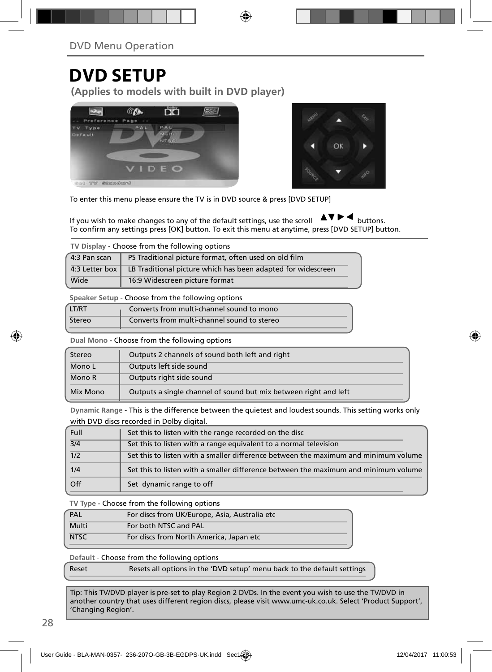## **DVD SETUP**

**(Applies to models with built in DVD player)**





To enter this menu please ensure the TV is in DVD source & press [DVD SETUP]

If you wish to make changes to any of the default settings, use the scroll  $\blacktriangle$   $\blacktriangledown$   $\blacktriangleright$   $\blacktriangleleft$  buttons. To confirm any settings press [OK] button. To exit this menu at anytime, press [DVD SETUP] button.

**TV Display** - Choose from the following options

| $4:3$ Pan scan | PS Traditional picture format, often used on old film        |
|----------------|--------------------------------------------------------------|
| 4:3 Letter box | LB Traditional picture which has been adapted for widescreen |
| Wide           | 16:9 Widescreen picture format                               |

**Speaker Setup** - Choose from the following options

| LT/RT  | Converts from multi-channel sound to mono   |
|--------|---------------------------------------------|
| Stereo | Converts from multi-channel sound to stereo |

**Dual Mono** - Choose from the following options

| Stereo   | Outputs 2 channels of sound both left and right                  |  |  |  |
|----------|------------------------------------------------------------------|--|--|--|
| Mono L   | Outputs left side sound                                          |  |  |  |
| Mono R   | Outputs right side sound                                         |  |  |  |
| Mix Mono | Outputs a single channel of sound but mix between right and left |  |  |  |

**Dynamic Range** - This is the difference between the quietest and loudest sounds. This setting works only with DVD discs recorded in Dolby digital.

| <b>Full</b> | Set this to listen with the range recorded on the disc                              |
|-------------|-------------------------------------------------------------------------------------|
| 3/4         | Set this to listen with a range equivalent to a normal television                   |
| 1/2         | Set this to listen with a smaller difference between the maximum and minimum volume |
| 1/4         | Set this to listen with a smaller difference between the maximum and minimum volume |
| Off         | Set dynamic range to off                                                            |

**TV Type** - Choose from the following options

| PAL         | For discs from UK/Europe, Asia, Australia etc |
|-------------|-----------------------------------------------|
| Multi       | For both NTSC and PAL                         |
| <b>NTSC</b> | For discs from North America, Japan etc       |
|             |                                               |

**Default** - Choose from the following options

Reset Resets all options in the 'DVD setup' menu back to the default settings

Tip: This TV/DVD player is pre-set to play Region 2 DVDs. In the event you wish to use the TV/DVD in another country that uses different region discs, please visit www.umc-uk.co.uk. Select 'Product Support', 'Changing Region'.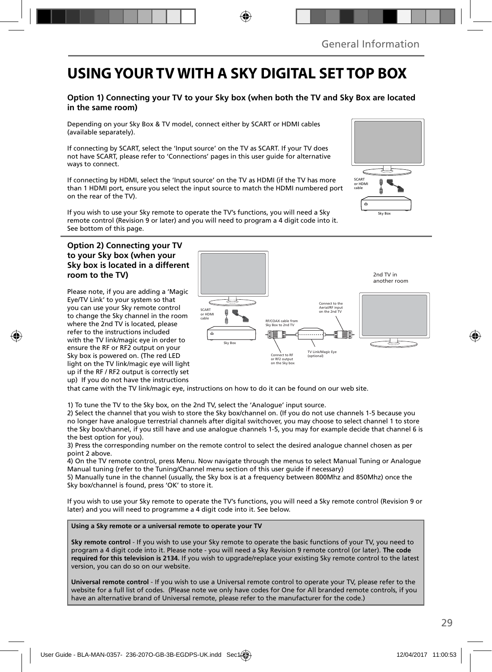## **USING YOUR TV WITH A SKY DIGITAL SET TOP BOX**

### **Option 1) Connecting your TV to your Sky box (when both the TV and Sky Box are located in the same room)**

Depending on your Sky Box & TV model, connect either by SCART or HDMI cables (available separately).

If connecting by SCART, select the 'Input source' on the TV as SCART. If your TV does not have SCART, please refer to 'Connections' pages in this user guide for alternative ways to connect.

If connecting by HDMI, select the 'Input source' on the TV as HDMI (if the TV has more than 1 HDMI port, ensure you select the input source to match the HDMI numbered port on the rear of the TV).

If you wish to use your Sky remote to operate the TV's functions, you will need a Sky remote control (Revision 9 or later) and you will need to program a 4 digit code into it. See bottom of this page.

#### **Option 2) Connecting your TV to your Sky box (when your Sky box is located in a different room to the TV)**

Please note, if you are adding a 'Magic Eye/TV Link' to your system so that you can use your Sky remote control to change the Sky channel in the room where the 2nd TV is located, please refer to the instructions included with the TV link/magic eye in order to ensure the RF or RF2 output on your Sky box is powered on. (The red LED light on the TV link/magic eye will light up if the RF / RF2 output is correctly set up) If you do not have the instructions



that came with the TV link/magic eye, instructions on how to do it can be found on our web site.

1) To tune the TV to the Sky box, on the 2nd TV, select the 'Analogue' input source.

2) Select the channel that you wish to store the Sky box/channel on. (If you do not use channels 1-5 because you no longer have analogue terrestrial channels after digital switchover, you may choose to select channel 1 to store the Sky box/channel, if you still have and use analogue channels 1-5, you may for example decide that channel 6 is the best option for you).

3) Press the corresponding number on the remote control to select the desired analogue channel chosen as per point 2 above.

4) On the TV remote control, press Menu. Now navigate through the menus to select Manual Tuning or Analogue Manual tuning (refer to the Tuning/Channel menu section of this user guide if necessary)

5) Manually tune in the channel (usually, the Sky box is at a frequency between 800Mhz and 850Mhz) once the Sky box/channel is found, press 'OK' to store it.

If you wish to use your Sky remote to operate the TV's functions, you will need a Sky remote control (Revision 9 or later) and you will need to programme a 4 digit code into it. See below.

**Using a Sky remote or a universal remote to operate your TV** 

**Sky remote control** - If you wish to use your Sky remote to operate the basic functions of your TV, you need to program a 4 digit code into it. Please note - you will need a Sky Revision 9 remote control (or later). **The code required for this television is 2134.** If you wish to upgrade/replace your existing Sky remote control to the latest version, you can do so on our website.

**Universal remote control** - If you wish to use a Universal remote control to operate your TV, please refer to the website for a full list of codes. (Please note we only have codes for One for All branded remote controls, if you have an alternative brand of Universal remote, please refer to the manufacturer for the code.)

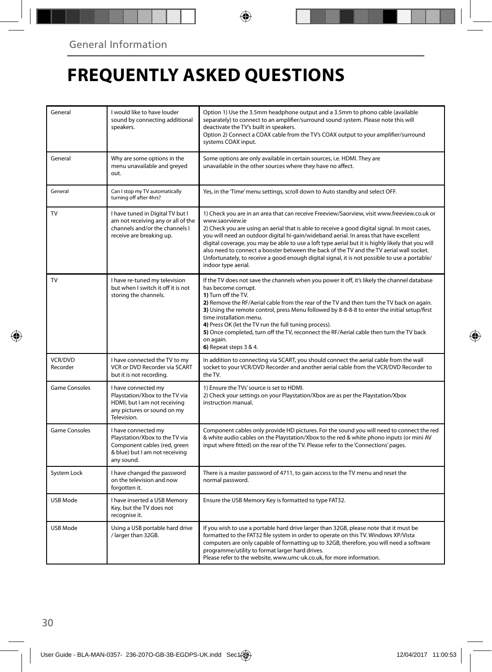## **FREQUENTLY ASKED QUESTIONS**

| General              | I would like to have louder<br>sound by connecting additional<br>speakers.                                                            | Option 1) Use the 3.5mm headphone output and a 3.5mm to phono cable (available<br>separately) to connect to an amplifier/surround sound system. Please note this will<br>deactivate the TV's built in speakers.<br>Option 2) Connect a COAX cable from the TV's COAX output to your amplifier/surround<br>systems COAX input.                                                                                                                                                                                                                                                                                                       |  |
|----------------------|---------------------------------------------------------------------------------------------------------------------------------------|-------------------------------------------------------------------------------------------------------------------------------------------------------------------------------------------------------------------------------------------------------------------------------------------------------------------------------------------------------------------------------------------------------------------------------------------------------------------------------------------------------------------------------------------------------------------------------------------------------------------------------------|--|
| General              | Why are some options in the<br>menu unavailable and greyed<br>out.                                                                    | Some options are only available in certain sources, i.e. HDMI. They are<br>unavailable in the other sources where they have no affect.                                                                                                                                                                                                                                                                                                                                                                                                                                                                                              |  |
| General              | Can I stop my TV automatically<br>turning off after 4hrs?                                                                             | Yes, in the 'Time' menu settings, scroll down to Auto standby and select OFF.                                                                                                                                                                                                                                                                                                                                                                                                                                                                                                                                                       |  |
| TV                   | I have tuned in Digital TV but I<br>am not receiving any or all of the<br>channels and/or the channels L<br>receive are breaking up.  | 1) Check you are in an area that can receive Freeview/Saorview, visit www.freeview.co.uk or<br>www.saorview.ie<br>2) Check you are using an aerial that is able to receive a good digital signal. In most cases,<br>you will need an outdoor digital hi-gain/wideband aerial. In areas that have excellent<br>digital coverage, you may be able to use a loft type aerial but it is highly likely that you will<br>also need to connect a booster between the back of the TV and the TV aerial wall socket.<br>Unfortunately, to receive a good enough digital signal, it is not possible to use a portable/<br>indoor type aerial. |  |
| TV                   | I have re-tuned my television<br>but when I switch it off it is not<br>storing the channels.                                          | If the TV does not save the channels when you power it off, it's likely the channel database<br>has become corrupt.<br>1) Turn off the TV.<br>2) Remove the RF/Aerial cable from the rear of the TV and then turn the TV back on again.<br>3) Using the remote control, press Menu followed by 8-8-8-8 to enter the initial setup/first<br>time installation menu.<br>4) Press OK (let the TV run the full tuning process).<br>5) Once completed, turn off the TV, reconnect the RF/Aerial cable then turn the TV back<br>on again.<br>6) Repeat steps 3 & 4.                                                                       |  |
| VCR/DVD<br>Recorder  | I have connected the TV to my<br>VCR or DVD Recorder via SCART<br>but it is not recording.                                            | In addition to connecting via SCART, you should connect the aerial cable from the wall<br>socket to your VCR/DVD Recorder and another aerial cable from the VCR/DVD Recorder to<br>the TV.                                                                                                                                                                                                                                                                                                                                                                                                                                          |  |
| <b>Game Consoles</b> | I have connected my<br>Playstation/Xbox to the TV via<br>HDMI, but I am not receiving<br>any pictures or sound on my<br>Television.   | 1) Ensure the TVs' source is set to HDMI.<br>2) Check your settings on your Playstation/Xbox are as per the Playstation/Xbox<br>instruction manual.                                                                                                                                                                                                                                                                                                                                                                                                                                                                                 |  |
| <b>Game Consoles</b> | I have connected my<br>Playstation/Xbox to the TV via<br>Component cables (red, green<br>& blue) but I am not receiving<br>any sound. | Component cables only provide HD pictures. For the sound you will need to connect the red<br>& white audio cables on the Playstation/Xbox to the red & white phono inputs (or mini AV<br>input where fitted) on the rear of the TV. Please refer to the 'Connections' pages.                                                                                                                                                                                                                                                                                                                                                        |  |
| System Lock          | I have changed the password<br>on the television and now<br>forgotten it.                                                             | There is a master password of 4711, to gain access to the TV menu and reset the<br>normal password.                                                                                                                                                                                                                                                                                                                                                                                                                                                                                                                                 |  |
| USB Mode             | I have inserted a USB Memory<br>Key, but the TV does not<br>recognise it.                                                             | Ensure the USB Memory Key is formatted to type FAT32.                                                                                                                                                                                                                                                                                                                                                                                                                                                                                                                                                                               |  |
| <b>USB Mode</b>      | Using a USB portable hard drive<br>/ larger than 32GB.                                                                                | If you wish to use a portable hard drive larger than 32GB, please note that it must be<br>formatted to the FAT32 file system in order to operate on this TV. Windows XP/Vista<br>computers are only capable of formatting up to 32GB, therefore, you will need a software<br>programme/utility to format larger hard drives.<br>Please refer to the website, www.umc-uk.co.uk, for more information.                                                                                                                                                                                                                                |  |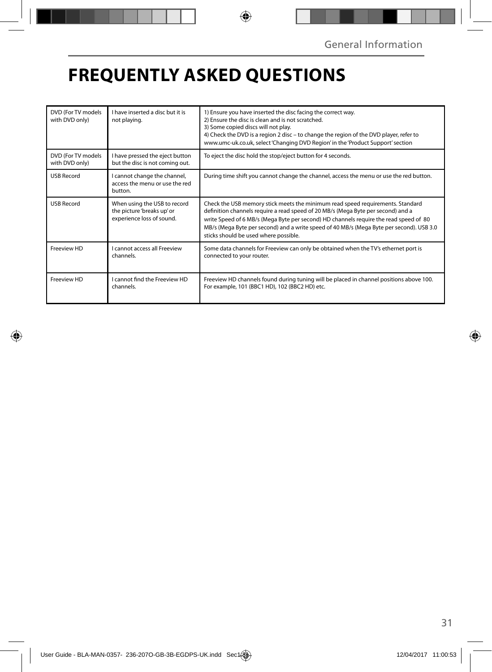## **FREQUENTLY ASKED QUESTIONS**

| DVD (For TV models<br>with DVD only) | I have inserted a disc but it is<br>not playing.                                        | 1) Ensure you have inserted the disc facing the correct way.<br>2) Ensure the disc is clean and is not scratched.<br>3) Some copied discs will not play.<br>4) Check the DVD is a region 2 disc – to change the region of the DVD player, refer to<br>www.umc-uk.co.uk, select 'Changing DVD Region' in the 'Product Support' section                                                            |
|--------------------------------------|-----------------------------------------------------------------------------------------|--------------------------------------------------------------------------------------------------------------------------------------------------------------------------------------------------------------------------------------------------------------------------------------------------------------------------------------------------------------------------------------------------|
| DVD (For TV models<br>with DVD only) | I have pressed the eject button<br>but the disc is not coming out.                      | To eject the disc hold the stop/eject button for 4 seconds.                                                                                                                                                                                                                                                                                                                                      |
| <b>USB Record</b>                    | I cannot change the channel,<br>access the menu or use the red<br>button.               | During time shift you cannot change the channel, access the menu or use the red button.                                                                                                                                                                                                                                                                                                          |
| <b>USB Record</b>                    | When using the USB to record<br>the picture 'breaks up' or<br>experience loss of sound. | Check the USB memory stick meets the minimum read speed requirements. Standard<br>definition channels require a read speed of 20 MB/s (Mega Byte per second) and a<br>write Speed of 6 MB/s (Mega Byte per second) HD channels require the read speed of 80<br>MB/s (Mega Byte per second) and a write speed of 40 MB/s (Mega Byte per second). USB 3.0<br>sticks should be used where possible. |
| Freeview HD                          | I cannot access all Freeview<br>channels.                                               | Some data channels for Freeview can only be obtained when the TV's ethernet port is<br>connected to your router.                                                                                                                                                                                                                                                                                 |
| Freeview HD                          | I cannot find the Freeview HD<br>channels.                                              | Freeview HD channels found during tuning will be placed in channel positions above 100.<br>For example, 101 (BBC1 HD), 102 (BBC2 HD) etc.                                                                                                                                                                                                                                                        |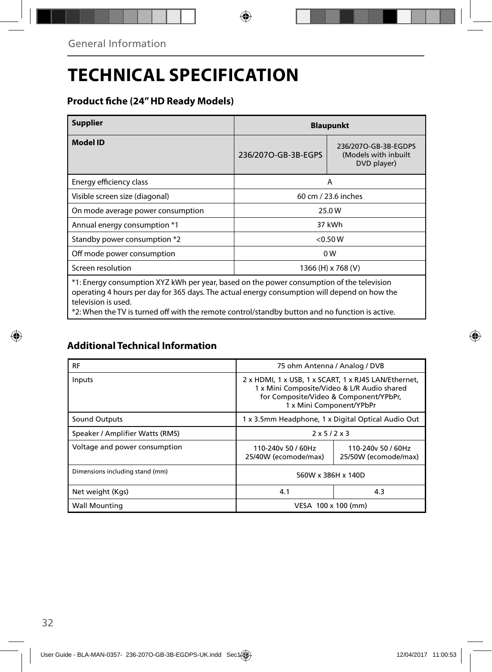## **TECHNICAL SPECIFICATION**

### **Product fi che (24" HD Ready Models)**

| <b>Supplier</b>                                                                                                                                                                                                  | <b>Blaupunkt</b>    |                                                             |  |  |  |
|------------------------------------------------------------------------------------------------------------------------------------------------------------------------------------------------------------------|---------------------|-------------------------------------------------------------|--|--|--|
| <b>Model ID</b>                                                                                                                                                                                                  | 236/2070-GB-3B-EGPS | 236/2070-GB-3B-EGDPS<br>(Models with inbuilt<br>DVD player) |  |  |  |
| Energy efficiency class                                                                                                                                                                                          |                     | A                                                           |  |  |  |
| Visible screen size (diagonal)                                                                                                                                                                                   | 60 cm / 23.6 inches |                                                             |  |  |  |
| On mode average power consumption                                                                                                                                                                                | 25.0W               |                                                             |  |  |  |
| Annual energy consumption *1                                                                                                                                                                                     | 37 kWh              |                                                             |  |  |  |
| Standby power consumption *2                                                                                                                                                                                     | < 0.50 W            |                                                             |  |  |  |
| Off mode power consumption                                                                                                                                                                                       | 0W                  |                                                             |  |  |  |
| Screen resolution                                                                                                                                                                                                | 1366 (H) x 768 (V)  |                                                             |  |  |  |
| *1: Energy consumption XYZ kWh per year, based on the power consumption of the television<br>operating 4 hours per day for 365 days. The actual energy consumption will depend on how the<br>television is used. |                     |                                                             |  |  |  |

\*2: When the TV is turned off with the remote control/standby button and no function is active.

### **Additional Technical Information**

| RF                              | 75 ohm Antenna / Analog / DVB                                                                                                                                             |                                                    |  |  |  |
|---------------------------------|---------------------------------------------------------------------------------------------------------------------------------------------------------------------------|----------------------------------------------------|--|--|--|
| Inputs                          | 2 x HDMI, 1 x USB, 1 x SCART, 1 x RJ45 LAN/Ethernet,<br>1 x Mini Composite/Video & L/R Audio shared<br>for Composite/Video & Component/YPbPr,<br>1 x Mini Component/YPbPr |                                                    |  |  |  |
| <b>Sound Outputs</b>            |                                                                                                                                                                           | 1 x 3.5mm Headphone, 1 x Digital Optical Audio Out |  |  |  |
| Speaker / Amplifier Watts (RMS) | $2 \times 5/2 \times 3$                                                                                                                                                   |                                                    |  |  |  |
| Voltage and power consumption   | 110-240y 50 / 60Hz<br>110-240y 50 / 60Hz<br>25/40W (ecomode/max)<br>25/50W (ecomode/max)                                                                                  |                                                    |  |  |  |
| Dimensions including stand (mm) | 560W x 386H x 140D                                                                                                                                                        |                                                    |  |  |  |
| Net weight (Kgs)                | 4.1                                                                                                                                                                       | 4.3                                                |  |  |  |
| <b>Wall Mounting</b>            | VESA 100 x 100 (mm)                                                                                                                                                       |                                                    |  |  |  |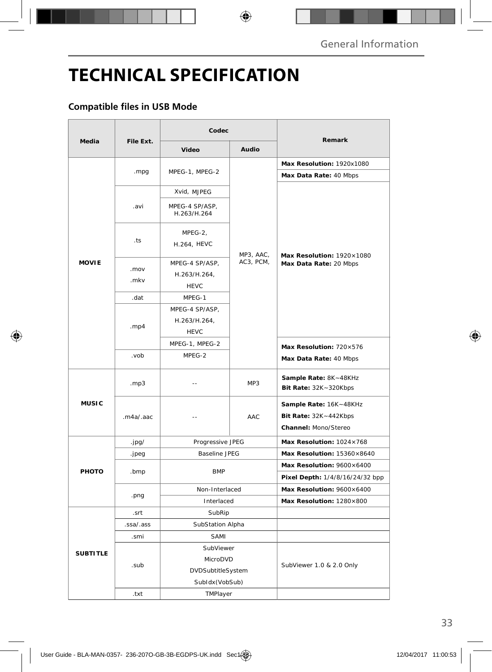## **TECHNICAL SPECIFICATION**

### **Compatible files in USB Mode**

| <b>Media</b>    | File Ext.    | Codec                                         |                        |                                                                         |
|-----------------|--------------|-----------------------------------------------|------------------------|-------------------------------------------------------------------------|
|                 |              | Video                                         | Audio                  | Remark                                                                  |
| <b>MOVIE</b>    | .mpg         | MPEG-1, MPEG-2                                | MP3, AAC,<br>AC3, PCM, | Max Resolution: 1920x1080                                               |
|                 |              |                                               |                        | Max Data Rate: 40 Mbps                                                  |
|                 | .avi         | Xvid, MJPEG                                   |                        | Max Resolution: 1920×1080<br>Max Data Rate: 20 Mbps                     |
|                 |              | MPEG-4 SP/ASP,<br>H.263/H.264                 |                        |                                                                         |
|                 | .ts          | MPEG-2,<br>H.264, HEVC                        |                        |                                                                         |
|                 | .mov<br>.mkv | MPEG-4 SP/ASP,<br>H.263/H.264,<br><b>HEVC</b> |                        |                                                                         |
|                 | .dat         | MPEG-1                                        |                        |                                                                         |
|                 | . $mp4$      | MPEG-4 SP/ASP,<br>H.263/H.264,<br><b>HEVC</b> |                        |                                                                         |
|                 |              | MPEG-1, MPEG-2                                |                        | Max Resolution: 720×576                                                 |
|                 | dov.         | MPEG-2                                        |                        | Max Data Rate: 40 Mbps                                                  |
| <b>MUSIC</b>    | .mp3         | $-$                                           | MP3                    | Sample Rate: 8K~48KHz<br>Bit Rate: 32K~320Kbps                          |
|                 | .m4a/.aac    | $-$                                           | AAC                    | Sample Rate: 16K~48KHz<br>Bit Rate: 32K~442Kbps<br>Channel: Mono/Stereo |
| <b>PHOTO</b>    | .jpg/        | Progressive JPEG                              |                        | Max Resolution: 1024×768                                                |
|                 | .jpeg        | <b>Baseline JPEG</b>                          |                        | Max Resolution: 15360×8640                                              |
|                 | .bmp         | <b>BMP</b>                                    |                        | Max Resolution: 9600×6400<br>Pixel Depth: 1/4/8/16/24/32 bpp            |
|                 | .png         | Non-Interlaced                                |                        | Max Resolution: 9600×6400                                               |
|                 |              | Interlaced                                    |                        | Max Resolution: 1280×800                                                |
| <b>SUBTITLE</b> | .srt         | SubRip                                        |                        |                                                                         |
|                 | .ssa/.ass    | SubStation Alpha                              |                        |                                                                         |
|                 | .smi         | SAMI                                          |                        |                                                                         |
|                 | .sub         | SubViewer                                     |                        | SubViewer 1.0 & 2.0 Only                                                |
|                 |              | MicroDVD                                      |                        |                                                                         |
|                 |              | DVDSubtitleSystem                             |                        |                                                                         |
|                 |              | SubIdx(VobSub)                                |                        |                                                                         |
|                 | .txt         | TMPlayer                                      |                        |                                                                         |